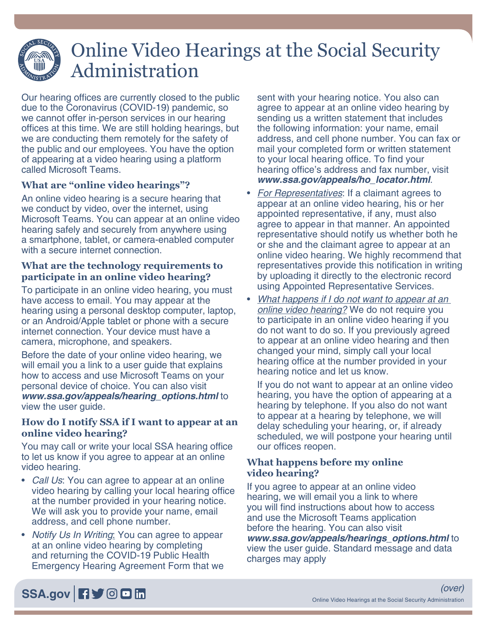# Online Video Hearings at the Social Security Administration

Our hearing offices are currently closed to the public due to the Coronavirus (COVID-19) pandemic, so we cannot offer in-person services in our hearing offices at this time. We are still holding hearings, but we are conducting them remotely for the safety of the public and our employees. You have the option of appearing at a video hearing using a platform called Microsoft Teams.

## **What are "online video hearings"?**

An online video hearing is a secure hearing that we conduct by video, over the internet, using Microsoft Teams. You can appear at an online video hearing safely and securely from anywhere using a smartphone, tablet, or camera-enabled computer with a secure internet connection.

#### **What are the technology requirements to participate in an online video hearing?**

To participate in an online video hearing, you must have access to email. You may appear at the hearing using a personal desktop computer, laptop, or an Android/Apple tablet or phone with a secure internet connection. Your device must have a camera, microphone, and speakers.

Before the date of your online video hearing, we will email you a link to a user guide that explains how to access and use Microsoft Teams on your personal device of choice. You can also visit *[www.ssa.gov/appeals/hearing\\_options.html](https://www.ssa.gov/appeals/hearing_options.html)* to view the user guide.

#### **How do I notify SSA if I want to appear at an online video hearing?**

You may call or write your local SSA hearing office to let us know if you agree to appear at an online video hearing.

- *Call Us*: You can agree to appear at an online video hearing by calling your local hearing office at the number provided in your hearing notice. We will ask you to provide your name, email address, and cell phone number.
- *Notify Us In Writing*: You can agree to appear at an online video hearing by completing and returning the COVID-19 Public Health Emergency Hearing Agreement Form that we

sent with your hearing notice. You also can agree to appear at an online video hearing by sending us a written statement that includes the following information: your name, email address, and cell phone number. You can fax or mail your completed form or written statement to your local hearing office. To find your hearing office's address and fax number, visit *[www.ssa.gov/appeals/ho\\_locator.html](https://www.ssa.gov/appeals/ho_locator.html)*.

- *For Representatives*: If a claimant agrees to appear at an online video hearing, his or her appointed representative, if any, must also agree to appear in that manner. An appointed representative should notify us whether both he or she and the claimant agree to appear at an online video hearing. We highly recommend that representatives provide this notification in writing by uploading it directly to the electronic record using Appointed Representative Services.
- *What happens if I do not want to appear at an online video hearing?* We do not require you to participate in an online video hearing if you do not want to do so. If you previously agreed to appear at an online video hearing and then changed your mind, simply call your local hearing office at the number provided in your hearing notice and let us know.

If you do not want to appear at an online video hearing, you have the option of appearing at a hearing by telephone. If you also do not want to appear at a hearing by telephone, we will delay scheduling your hearing, or, if already scheduled, we will postpone your hearing until our offices reopen.

### **What happens before my online video hearing?**

If you agree to appear at an online video hearing, we will email you a link to where you will find instructions about how to access and use the Microsoft Teams application before the hearing. You can also visit *[www.ssa.gov/appeals/hearings\\_options.html](https://www.ssa.gov/appeals/hearings_options.html)* to view the user guide. Standard message and data charges may apply